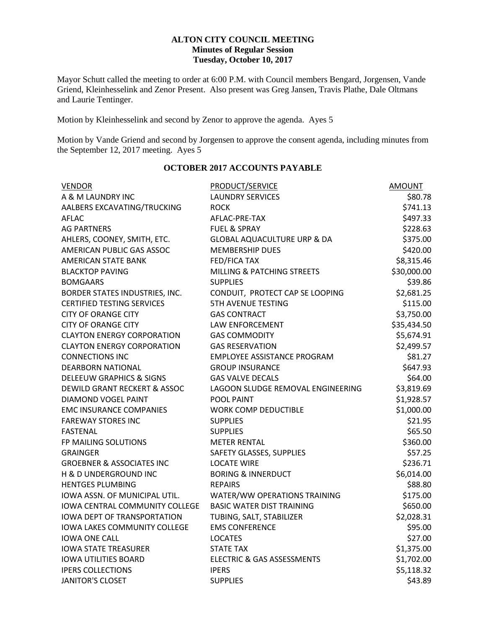## **ALTON CITY COUNCIL MEETING Minutes of Regular Session Tuesday, October 10, 2017**

Mayor Schutt called the meeting to order at 6:00 P.M. with Council members Bengard, Jorgensen, Vande Griend, Kleinhesselink and Zenor Present. Also present was Greg Jansen, Travis Plathe, Dale Oltmans and Laurie Tentinger.

Motion by Kleinhesselink and second by Zenor to approve the agenda. Ayes 5

Motion by Vande Griend and second by Jorgensen to approve the consent agenda, including minutes from the September 12, 2017 meeting. Ayes 5

| <b>VENDOR</b>                         | <b>PRODUCT/SERVICE</b>                 | <b>AMOUNT</b> |
|---------------------------------------|----------------------------------------|---------------|
| A & M LAUNDRY INC                     | <b>LAUNDRY SERVICES</b>                | \$80.78       |
| AALBERS EXCAVATING/TRUCKING           | <b>ROCK</b>                            | \$741.13      |
| <b>AFLAC</b>                          | AFLAC-PRE-TAX                          | \$497.33      |
| <b>AG PARTNERS</b>                    | <b>FUEL &amp; SPRAY</b>                |               |
| AHLERS, COONEY, SMITH, ETC.           | <b>GLOBAL AQUACULTURE URP &amp; DA</b> | \$375.00      |
| AMERICAN PUBLIC GAS ASSOC             | <b>MEMBERSHIP DUES</b>                 | \$420.00      |
| <b>AMERICAN STATE BANK</b>            | FED/FICA TAX                           | \$8,315.46    |
| <b>BLACKTOP PAVING</b>                | <b>MILLING &amp; PATCHING STREETS</b>  | \$30,000.00   |
| <b>BOMGAARS</b>                       | <b>SUPPLIES</b>                        | \$39.86       |
| BORDER STATES INDUSTRIES, INC.        | CONDUIT, PROTECT CAP SE LOOPING        | \$2,681.25    |
| <b>CERTIFIED TESTING SERVICES</b>     | <b>5TH AVENUE TESTING</b>              | \$115.00      |
| <b>CITY OF ORANGE CITY</b>            | <b>GAS CONTRACT</b>                    | \$3,750.00    |
| <b>CITY OF ORANGE CITY</b>            | LAW ENFORCEMENT                        | \$35,434.50   |
| <b>CLAYTON ENERGY CORPORATION</b>     | <b>GAS COMMODITY</b>                   | \$5,674.91    |
| <b>CLAYTON ENERGY CORPORATION</b>     | <b>GAS RESERVATION</b>                 | \$2,499.57    |
| <b>CONNECTIONS INC</b>                | <b>EMPLOYEE ASSISTANCE PROGRAM</b>     | \$81.27       |
| <b>DEARBORN NATIONAL</b>              | <b>GROUP INSURANCE</b>                 | \$647.93      |
| <b>DELEEUW GRAPHICS &amp; SIGNS</b>   | <b>GAS VALVE DECALS</b>                | \$64.00       |
| DEWILD GRANT RECKERT & ASSOC          | LAGOON SLUDGE REMOVAL ENGINEERING      | \$3,819.69    |
| <b>DIAMOND VOGEL PAINT</b>            | POOL PAINT                             | \$1,928.57    |
| <b>EMC INSURANCE COMPANIES</b>        | <b>WORK COMP DEDUCTIBLE</b>            | \$1,000.00    |
| <b>FAREWAY STORES INC</b>             | <b>SUPPLIES</b>                        | \$21.95       |
| <b>FASTENAL</b>                       | <b>SUPPLIES</b>                        | \$65.50       |
| FP MAILING SOLUTIONS                  | <b>METER RENTAL</b>                    | \$360.00      |
| <b>GRAINGER</b>                       | SAFETY GLASSES, SUPPLIES               | \$57.25       |
| <b>GROEBNER &amp; ASSOCIATES INC</b>  | <b>LOCATE WIRE</b>                     | \$236.71      |
| H & D UNDERGROUND INC                 | <b>BORING &amp; INNERDUCT</b>          | \$6,014.00    |
| <b>HENTGES PLUMBING</b>               | <b>REPAIRS</b>                         | \$88.80       |
| IOWA ASSN. OF MUNICIPAL UTIL.         | WATER/WW OPERATIONS TRAINING           | \$175.00      |
| <b>IOWA CENTRAL COMMUNITY COLLEGE</b> | <b>BASIC WATER DIST TRAINING</b>       | \$650.00      |
| <b>IOWA DEPT OF TRANSPORTATION</b>    | TUBING, SALT, STABILIZER               | \$2,028.31    |
| <b>IOWA LAKES COMMUNITY COLLEGE</b>   | <b>EMS CONFERENCE</b>                  | \$95.00       |
| <b>IOWA ONE CALL</b>                  | <b>LOCATES</b>                         | \$27.00       |
| <b>IOWA STATE TREASURER</b>           | <b>STATE TAX</b>                       | \$1,375.00    |
| <b>IOWA UTILITIES BOARD</b>           | ELECTRIC & GAS ASSESSMENTS             | \$1,702.00    |
| <b>IPERS COLLECTIONS</b>              | <b>IPERS</b>                           | \$5,118.32    |
| <b>JANITOR'S CLOSET</b>               | <b>SUPPLIES</b>                        | \$43.89       |

# **OCTOBER 2017 ACCOUNTS PAYABLE**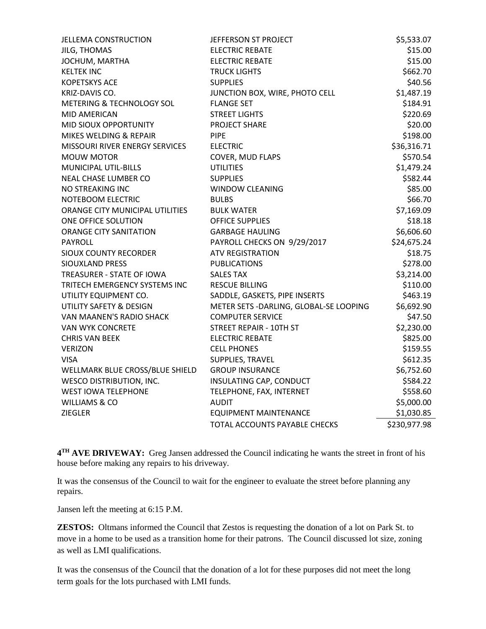| <b>JELLEMA CONSTRUCTION</b>     | JEFFERSON ST PROJECT                    | \$5,533.07   |
|---------------------------------|-----------------------------------------|--------------|
| JILG, THOMAS                    | <b>ELECTRIC REBATE</b>                  | \$15.00      |
| JOCHUM, MARTHA                  | <b>ELECTRIC REBATE</b>                  | \$15.00      |
| <b>KELTEK INC</b>               | <b>TRUCK LIGHTS</b>                     | \$662.70     |
| <b>KOPETSKYS ACE</b>            | <b>SUPPLIES</b>                         | \$40.56      |
| KRIZ-DAVIS CO.                  | JUNCTION BOX, WIRE, PHOTO CELL          | \$1,487.19   |
| METERING & TECHNOLOGY SOL       | <b>FLANGE SET</b>                       | \$184.91     |
| MID AMERICAN                    | <b>STREET LIGHTS</b>                    | \$220.69     |
| MID SIOUX OPPORTUNITY           | <b>PROJECT SHARE</b>                    | \$20.00      |
| MIKES WELDING & REPAIR          | <b>PIPE</b>                             | \$198.00     |
| MISSOURI RIVER ENERGY SERVICES  | <b>ELECTRIC</b>                         | \$36,316.71  |
| <b>MOUW MOTOR</b>               | COVER, MUD FLAPS                        | \$570.54     |
| MUNICIPAL UTIL-BILLS            | <b>UTILITIES</b>                        | \$1,479.24   |
| NEAL CHASE LUMBER CO            | <b>SUPPLIES</b>                         | \$582.44     |
| NO STREAKING INC                | <b>WINDOW CLEANING</b>                  | \$85.00      |
| NOTEBOOM ELECTRIC               | <b>BULBS</b>                            | \$66.70      |
| ORANGE CITY MUNICIPAL UTILITIES | <b>BULK WATER</b>                       | \$7,169.09   |
| ONE OFFICE SOLUTION             | <b>OFFICE SUPPLIES</b>                  | \$18.18      |
| <b>ORANGE CITY SANITATION</b>   | <b>GARBAGE HAULING</b>                  | \$6,606.60   |
| <b>PAYROLL</b>                  | PAYROLL CHECKS ON 9/29/2017             | \$24,675.24  |
| <b>SIOUX COUNTY RECORDER</b>    | <b>ATV REGISTRATION</b>                 | \$18.75      |
| <b>SIOUXLAND PRESS</b>          | <b>PUBLICATIONS</b>                     | \$278.00     |
| TREASURER - STATE OF IOWA       | <b>SALES TAX</b>                        | \$3,214.00   |
| TRITECH EMERGENCY SYSTEMS INC   | <b>RESCUE BILLING</b>                   | \$110.00     |
| UTILITY EQUIPMENT CO.           | SADDLE, GASKETS, PIPE INSERTS           | \$463.19     |
| UTILITY SAFETY & DESIGN         | METER SETS - DARLING, GLOBAL-SE LOOPING | \$6,692.90   |
| VAN MAANEN'S RADIO SHACK        | <b>COMPUTER SERVICE</b>                 | \$47.50      |
| <b>VAN WYK CONCRETE</b>         | <b>STREET REPAIR - 10TH ST</b>          | \$2,230.00   |
| <b>CHRIS VAN BEEK</b>           | <b>ELECTRIC REBATE</b>                  | \$825.00     |
| <b>VERIZON</b>                  | <b>CELL PHONES</b>                      | \$159.55     |
| VISA                            | SUPPLIES, TRAVEL                        | \$612.35     |
| WELLMARK BLUE CROSS/BLUE SHIELD | <b>GROUP INSURANCE</b>                  | \$6,752.60   |
| <b>WESCO DISTRIBUTION, INC.</b> | INSULATING CAP, CONDUCT                 | \$584.22     |
| <b>WEST IOWA TELEPHONE</b>      | TELEPHONE, FAX, INTERNET                | \$558.60     |
| <b>WILLIAMS &amp; CO</b>        | <b>AUDIT</b>                            | \$5,000.00   |
| <b>ZIEGLER</b>                  | <b>EQUIPMENT MAINTENANCE</b>            | \$1,030.85   |
|                                 | TOTAL ACCOUNTS PAYABLE CHECKS           | \$230,977.98 |

**4 TH AVE DRIVEWAY:** Greg Jansen addressed the Council indicating he wants the street in front of his house before making any repairs to his driveway.

It was the consensus of the Council to wait for the engineer to evaluate the street before planning any repairs.

Jansen left the meeting at 6:15 P.M.

**ZESTOS:** Oltmans informed the Council that Zestos is requesting the donation of a lot on Park St. to move in a home to be used as a transition home for their patrons. The Council discussed lot size, zoning as well as LMI qualifications.

It was the consensus of the Council that the donation of a lot for these purposes did not meet the long term goals for the lots purchased with LMI funds.